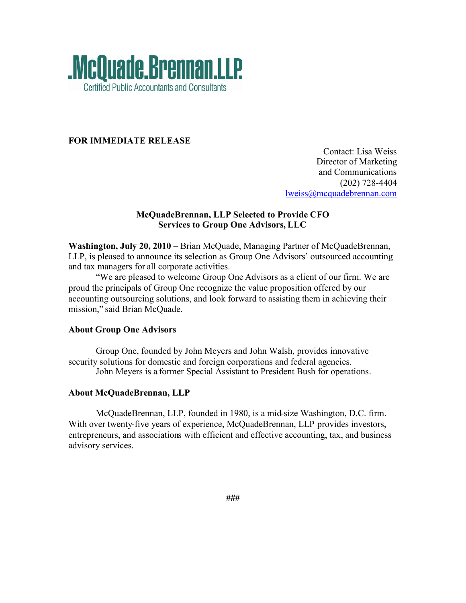

## **FOR IMMEDIATE RELEASE**

Contact: Lisa Weiss Director of Marketing and Communications (202) 728-4404 lweiss@mcquadebrennan.com

### **McQuadeBrennan, LLP Selected to Provide CFO Services to Group One Advisors, LLC**

**Washington, July 20, 2010** – Brian McQuade, Managing Partner of McQuadeBrennan, LLP, is pleased to announce its selection as Group One Advisors' outsourced accounting and tax managers for all corporate activities.

"We are pleased to welcome Group One Advisors as a client of our firm. We are proud the principals of Group One recognize the value proposition offered by our accounting outsourcing solutions, and look forward to assisting them in achieving their mission," said Brian McQuade.

#### **About Group One Advisors**

Group One, founded by John Meyers and John Walsh, provides innovative security solutions for domestic and foreign corporations and federal agencies. John Meyers is a former Special Assistant to President Bush for operations.

# **About McQuadeBrennan, LLP**

McQuadeBrennan, LLP, founded in 1980, is a mid-size Washington, D.C. firm. With over twenty-five years of experience, McQuadeBrennan, LLP provides investors, entrepreneurs, and associations with efficient and effective accounting, tax, and business advisory services.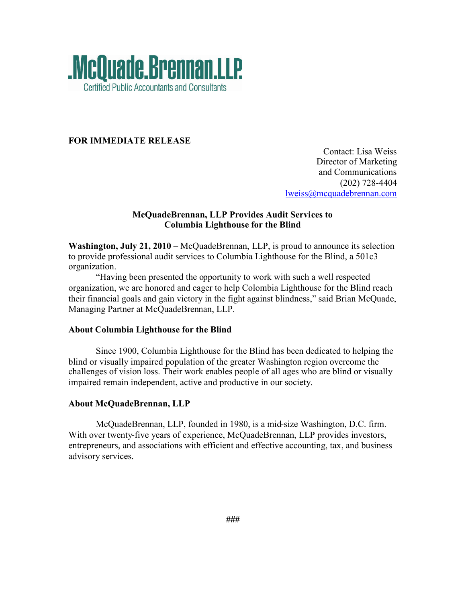

## **FOR IMMEDIATE RELEASE**

Contact: Lisa Weiss Director of Marketing and Communications (202) 728-4404 lweiss@mcquadebrennan.com

### **McQuadeBrennan, LLP Provides Audit Services to Columbia Lighthouse for the Blind**

**Washington, July 21, 2010** – McQuadeBrennan, LLP, is proud to announce its selection to provide professional audit services to Columbia Lighthouse for the Blind, a 501c3 organization.

"Having been presented the opportunity to work with such a well respected organization, we are honored and eager to help Colombia Lighthouse for the Blind reach their financial goals and gain victory in the fight against blindness," said Brian McQuade, Managing Partner at McQuadeBrennan, LLP.

#### **About Columbia Lighthouse for the Blind**

Since 1900, Columbia Lighthouse for the Blind has been dedicated to helping the blind or visually impaired population of the greater Washington region overcome the challenges of vision loss. Their work enables people of all ages who are blind or visually impaired remain independent, active and productive in our society.

#### **About McQuadeBrennan, LLP**

McQuadeBrennan, LLP, founded in 1980, is a mid-size Washington, D.C. firm. With over twenty-five years of experience, McQuadeBrennan, LLP provides investors, entrepreneurs, and associations with efficient and effective accounting, tax, and business advisory services.